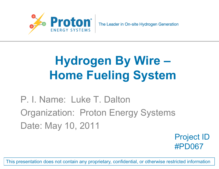

## **Hydrogen By Wire – Home Fueling System**

P. I. Name: Luke T. Dalton Organization: Proton Energy Systems Date: May 10, 2011

> Project ID #PD067

This presentation does not contain any proprietary, confidential, or otherwise restricted information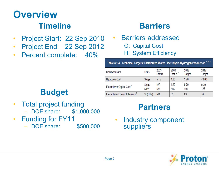# **Overview**

- Project Start: 22 Sep 2010
- Project End: 22 Sep 2012
- Percent complete: 40%

#### **Timeline Barriers**

- Barriers addressed G: Capital Cost
	- H: System Efficiency

| Table 3.1.4. Technical Targets: Distributed Water Electrolysis Hydrogen Production <sup>a, b, c</sup> |                             |                       |                             |                |                |  |  |
|-------------------------------------------------------------------------------------------------------|-----------------------------|-----------------------|-----------------------------|----------------|----------------|--|--|
| Characteristics                                                                                       | Units                       | 2003<br><b>Status</b> | 2006<br>Status <sup>c</sup> | 2012<br>Target | 2017<br>Target |  |  |
| <b>Hydrogen Cost</b>                                                                                  | $\frac{6}{9}$ gge           | 5.15                  | 4.80                        | 3.70           | < 3.00         |  |  |
| Electrolyzer Capital Cost <sup>d</sup>                                                                | $\frac{\log x}{2}$<br>\$/kW | N/A<br>N/A            | 1.20<br>665                 | 0.70<br>400    | 0.30<br>125    |  |  |
| Electrolyzer Energy Efficiency <sup>+</sup>                                                           | % (LHV)                     | N/A                   | 62                          | 69             | 74             |  |  |

#### **Budget**

- Total project funding – DOE share: \$1,000,000
- Funding for FY11
	- DOE share: \$500,000

#### **Partners**

• Industry component suppliers

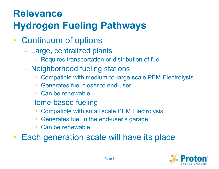### **Relevance Hydrogen Fueling Pathways**

- Continuum of options
	- Large, centralized plants
		- Requires transportation or distribution of fuel
	- Neighborhood fueling stations
		- Compatible with medium-to-large scale PEM Electrolysis
		- Generates fuel closer to end-user
		- Can be renewable
	- Home-based fueling
		- Compatible with small scale PEM Electrolysis
		- Generates fuel in the end-user's garage
		- Can be renewable
- Each generation scale will have its place

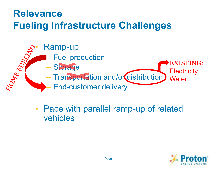#### **Relevance Fueling Infrastructure Challenges**



• Pace with parallel ramp-up of related vehicles

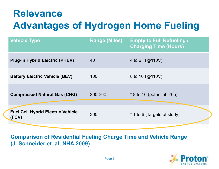### **Relevance Advantages of Hydrogen Home Fueling**

| <b>Vehicle Type</b>                               | <b>Range (Miles)</b> | <b>Empty to Full Refueling /</b><br><b>Charging Time (Hours)</b> |
|---------------------------------------------------|----------------------|------------------------------------------------------------------|
| <b>Plug-in Hybrid Electric (PHEV)</b>             | 40                   | 4 to 6 $(Q(110V))$                                               |
| <b>Battery Electric Vehicle (BEV)</b>             | 100                  | 8 to 16 $(@$ 110V)                                               |
| <b>Compressed Natural Gas (CNG)</b>               | 200-300              | $*$ 8 to 16 (potential $\leq$ 6h)                                |
| <b>Fuel Cell Hybrid Electric Vehicle</b><br>(FCV) | 300                  | * 1 to 6 (Targets of study)                                      |

**Comparison of Residential Fueling Charge Time and Vehicle Range (J. Schneider et. al, NHA 2009)**

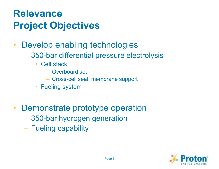#### **Relevance Project Objectives**

- Develop enabling technologies
	- 350-bar differential pressure electrolysis
		- Cell stack
			- Overboard seal
			- Cross-cell seal, membrane support
		- Fueling system
- Demonstrate prototype operation
	- 350-bar hydrogen generation
	- Fueling capability

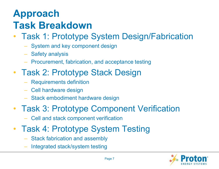### **Approach Task Breakdown**

- Task 1: Prototype System Design/Fabrication
	- System and key component design
	- Safety analysis
	- Procurement, fabrication, and acceptance testing
- Task 2: Prototype Stack Design
	- Requirements definition
	- Cell hardware design
	- Stack embodiment hardware design
- Task 3: Prototype Component Verification
	- Cell and stack component verification
- Task 4: Prototype System Testing
	- Stack fabrication and assembly
	- Integrated stack/system testing

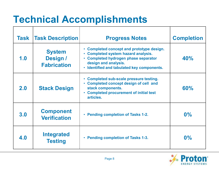### **Technical Accomplishments**

| Task | <b>Task Description</b>                         | <b>Progress Notes</b>                                                                                                                                                                          | <b>Completion</b> |
|------|-------------------------------------------------|------------------------------------------------------------------------------------------------------------------------------------------------------------------------------------------------|-------------------|
| 1.0  | <b>System</b><br>Design /<br><b>Fabrication</b> | • Completed concept and prototype design.<br>• Completed system hazard analysis.<br>• Completed hydrogen phase separator<br>design and analysis.<br>· Identified and tabulated key components. | 40%               |
| 2.0  | <b>Stack Design</b>                             | • Completed sub-scale pressure testing.<br>• Completed concept design of cell and<br>stack components.<br>• Completed procurement of initial test<br>articles.                                 | 60%               |
| 3.0  | <b>Component</b><br><b>Verification</b>         | • Pending completion of Tasks 1-2.                                                                                                                                                             | $0\%$             |
| 4.0  | <b>Integrated</b><br><b>Testing</b>             | <b>Pending completion of Tasks 1-3.</b>                                                                                                                                                        | $0\%$             |

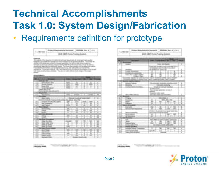#### **Technical Accomplishments Task 1.0: System Design/Fabrication** • Requirements definition for prototype

|  | $\sim$<br><b>Service</b><br>$x = x + c$ | $2 - 2 - 2 - 2$ |  |
|--|-----------------------------------------|-----------------|--|
|  |                                         |                 |  |
|  |                                         |                 |  |
|  |                                         |                 |  |

Brokers' Magazinesian Resistant | Michigan Way & To Mrs

| 4,000,000              |  |                 |  |
|------------------------|--|-----------------|--|
|                        |  |                 |  |
|                        |  |                 |  |
|                        |  |                 |  |
|                        |  |                 |  |
|                        |  |                 |  |
|                        |  | <b>T. Books</b> |  |
|                        |  |                 |  |
|                        |  |                 |  |
|                        |  |                 |  |
|                        |  |                 |  |
|                        |  |                 |  |
|                        |  |                 |  |
|                        |  |                 |  |
|                        |  |                 |  |
|                        |  |                 |  |
|                        |  |                 |  |
|                        |  |                 |  |
|                        |  |                 |  |
|                        |  |                 |  |
|                        |  |                 |  |
|                        |  |                 |  |
|                        |  |                 |  |
|                        |  |                 |  |
|                        |  |                 |  |
|                        |  |                 |  |
|                        |  |                 |  |
| 27848<br><b>CARD C</b> |  |                 |  |
| <b>MAX SAVER</b>       |  |                 |  |
|                        |  |                 |  |

| Listen.<br>$\overline{\mathcal{E}}$ is denoted. |   |                                                 |        |              |  |
|-------------------------------------------------|---|-------------------------------------------------|--------|--------------|--|
|                                                 |   |                                                 |        |              |  |
| <b>Simple</b>                                   |   | ×                                               | ā<br>٠ | a<br>and the |  |
|                                                 | m |                                                 |        |              |  |
| <b>The Co</b><br>Dani.                          | E |                                                 |        |              |  |
|                                                 | π |                                                 |        |              |  |
|                                                 | × | 校生                                              |        |              |  |
|                                                 |   | <b>Paul Tip</b>                                 |        |              |  |
|                                                 |   | Top conigate geophony at<br><b>UNITED LOOKS</b> |        | s            |  |
|                                                 |   |                                                 |        |              |  |
| w.<br>×                                         |   |                                                 |        |              |  |
| ma                                              |   |                                                 |        |              |  |
|                                                 |   |                                                 |        |              |  |
|                                                 |   |                                                 |        |              |  |
| ×<br>8.80                                       |   |                                                 |        |              |  |
| w                                               |   |                                                 |        | s            |  |
| ۰                                               | č | ã                                               | ğ      | u            |  |
|                                                 |   | ĸ                                               |        |              |  |

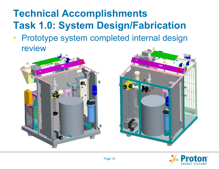### **Technical Accomplishments Task 1.0: System Design/Fabrication**

• Prototype system completed internal design review





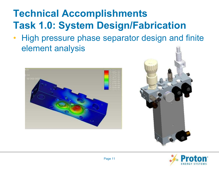### **Technical Accomplishments Task 1.0: System Design/Fabrication**

• High pressure phase separator design and finite element analysis





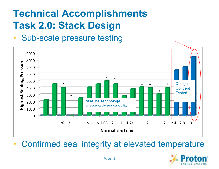• Sub-scale pressure testing



• Confirmed seal integrity at elevated temperature

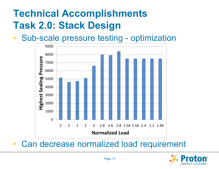• Sub-scale pressure testing - optimization



• Can decrease normalized load requirement

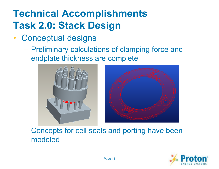- Conceptual designs
	- Preliminary calculations of clamping force and endplate thickness are complete





#### – Concepts for cell seals and porting have been modeled

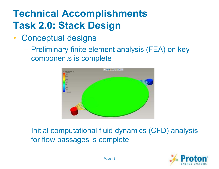- Conceptual designs
	- Preliminary finite element analysis (FEA) on key components is complete



– Initial computational fluid dynamics (CFD) analysis for flow passages is complete

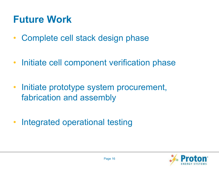### **Future Work**

- Complete cell stack design phase
- Initiate cell component verification phase
- Initiate prototype system procurement, fabrication and assembly
- Integrated operational testing

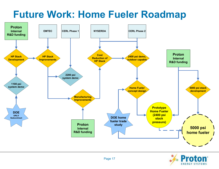#### **Future Work: Home Fueler Roadmap**



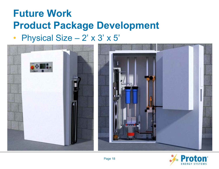#### **Future Work Product Package Development** • Physical Size - 2' x 3' x 5'